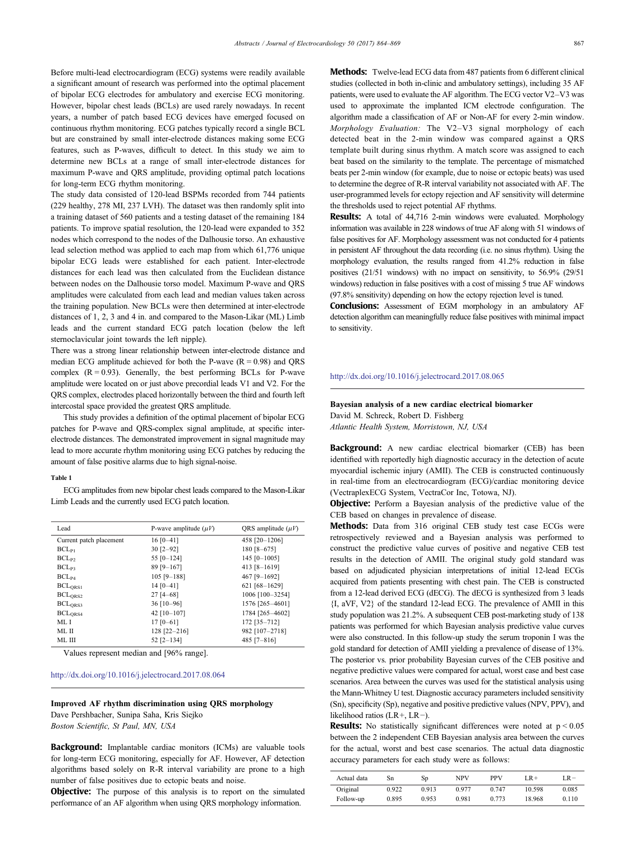Before multi-lead electrocardiogram (ECG) systems were readily available a significant amount of research was performed into the optimal placement of bipolar ECG electrodes for ambulatory and exercise ECG monitoring. However, bipolar chest leads (BCLs) are used rarely nowadays. In recent years, a number of patch based ECG devices have emerged focused on continuous rhythm monitoring. ECG patches typically record a single BCL but are constrained by small inter-electrode distances making some ECG features, such as P-waves, difficult to detect. In this study we aim to determine new BCLs at a range of small inter-electrode distances for maximum P-wave and QRS amplitude, providing optimal patch locations for long-term ECG rhythm monitoring.

The study data consisted of 120-lead BSPMs recorded from 744 patients (229 healthy, 278 MI, 237 LVH). The dataset was then randomly split into a training dataset of 560 patients and a testing dataset of the remaining 184 patients. To improve spatial resolution, the 120-lead were expanded to 352 nodes which correspond to the nodes of the Dalhousie torso. An exhaustive lead selection method was applied to each map from which 61,776 unique bipolar ECG leads were established for each patient. Inter-electrode distances for each lead was then calculated from the Euclidean distance between nodes on the Dalhousie torso model. Maximum P-wave and QRS amplitudes were calculated from each lead and median values taken across the training population. New BCLs were then determined at inter-electrode distances of 1, 2, 3 and 4 in. and compared to the Mason-Likar (ML) Limb leads and the current standard ECG patch location (below the left sternoclavicular joint towards the left nipple).

There was a strong linear relationship between inter-electrode distance and median ECG amplitude achieved for both the P-wave  $(R = 0.98)$  and QRS complex  $(R = 0.93)$ . Generally, the best performing BCLs for P-wave amplitude were located on or just above precordial leads V1 and V2. For the QRS complex, electrodes placed horizontally between the third and fourth left intercostal space provided the greatest QRS amplitude.

This study provides a definition of the optimal placement of bipolar ECG patches for P-wave and QRS-complex signal amplitude, at specific interelectrode distances. The demonstrated improvement in signal magnitude may lead to more accurate rhythm monitoring using ECG patches by reducing the amount of false positive alarms due to high signal-noise.

#### Table 1

ECG amplitudes from new bipolar chest leads compared to the Mason-Likar Limb Leads and the currently used ECG patch location.

| Lead                    | P-wave amplitude $(\mu V)$ | ORS amplitude $(\mu V)$ |  |
|-------------------------|----------------------------|-------------------------|--|
| Current patch placement | $16 [0 - 41]$              | 458 [20-1206]           |  |
| $BCL_{P1}$              | $30$ $[2-92]$              | 180 [8-675]             |  |
| $BCL_{P2}$              | 55 $[0-124]$               | 145 $[0-1005]$          |  |
| $BCL_{P3}$              | $89$ [9-167]               | 413 [8-1619]            |  |
| $BCL_{P4}$              | $105$ [9-188]              | 467 [9-1692]            |  |
| BCL <sub>ORS1</sub>     | $14 [0 - 41]$              | 621 [68-1629]           |  |
| $BCL_{ORS2}$            | $27$ [4-68]                | 1006 [100-3254]         |  |
| BCL <sub>ORS3</sub>     | $36$ [10-96]               | 1576 [265-4601]         |  |
| BCL <sub>ORS4</sub>     | 42 $[10-107]$              | 1784 [265-4602]         |  |
| ML I                    | $17[0-61]$                 | 172 [35-712]            |  |
| ML II                   | $128$ [22-216]             | 982 [107-2718]          |  |
| ML III                  | $52$ $[2-134]$             | 485 $[7-816]$           |  |

Values represent median and [96% range].

#### http://dx.doi.org[/10.1016/j.jelectrocard.2017.08.064](http://dx.doi.org/10.1016/j.jelectrocard.2017.08.064)

#### Improved AF rhythm discrimination using QRS morphology

Dave Pershbacher, Sunipa Saha, Kris Siejko

Boston Scientific, St Paul, MN, USA

Background: Implantable cardiac monitors (ICMs) are valuable tools for long-term ECG monitoring, especially for AF. However, AF detection algorithms based solely on R-R interval variability are prone to a high number of false positives due to ectopic beats and noise.

**Objective:** The purpose of this analysis is to report on the simulated performance of an AF algorithm when using QRS morphology information.

Methods: Twelve-lead ECG data from 487 patients from 6 different clinical studies (collected in both in-clinic and ambulatory settings), including 35 AF patients, were used to evaluate the AF algorithm. The ECG vector V2–V3 was used to approximate the implanted ICM electrode configuration. The algorithm made a classification of AF or Non-AF for every 2-min window. Morphology Evaluation: The V2–V3 signal morphology of each detected beat in the 2-min window was compared against a QRS template built during sinus rhythm. A match score was assigned to each beat based on the similarity to the template. The percentage of mismatched beats per 2-min window (for example, due to noise or ectopic beats) was used to determine the degree of R-R interval variability not associated with AF. The user-programmed levels for ectopy rejection and AF sensitivity will determine the thresholds used to reject potential AF rhythms.

Results: A total of 44,716 2-min windows were evaluated. Morphology information was available in 228 windows of true AF along with 51 windows of false positives for AF. Morphology assessment was not conducted for 4 patients in persistent AF throughout the data recording (i.e. no sinus rhythm). Using the morphology evaluation, the results ranged from 41.2% reduction in false positives (21/51 windows) with no impact on sensitivity, to 56.9% (29/51 windows) reduction in false positives with a cost of missing 5 true AF windows (97.8% sensitivity) depending on how the ectopy rejection level is tuned.

Conclusions: Assessment of EGM morphology in an ambulatory AF detection algorithm can meaningfully reduce false positives with minimal impact to sensitivity.

# http://dx.doi.org[/10.1016/j.jelectrocard.2017.08.065](http://dx.doi.org/10.1016/j.jelectrocard.2017.08.065)

Bayesian analysis of a new cardiac electrical biomarker David M. Schreck, Robert D. Fishberg Atlantic Health System, Morristown, NJ, USA

Background: A new cardiac electrical biomarker (CEB) has been identified with reportedly high diagnostic accuracy in the detection of acute myocardial ischemic injury (AMII). The CEB is constructed continuously in real-time from an electrocardiogram (ECG)/cardiac monitoring device (VectraplexECG System, VectraCor Inc, Totowa, NJ).

**Objective:** Perform a Bayesian analysis of the predictive value of the CEB based on changes in prevalence of disease.

Methods: Data from 316 original CEB study test case ECGs were retrospectively reviewed and a Bayesian analysis was performed to construct the predictive value curves of positive and negative CEB test results in the detection of AMII. The original study gold standard was based on adjudicated physician interpretations of initial 12-lead ECGs acquired from patients presenting with chest pain. The CEB is constructed from a 12-lead derived ECG (dECG). The dECG is synthesized from 3 leads {I, aVF, V2} of the standard 12-lead ECG. The prevalence of AMII in this study population was 21.2%. A subsequent CEB post-marketing study of 138 patients was performed for which Bayesian analysis predictive value curves were also constructed. In this follow-up study the serum troponin I was the gold standard for detection of AMII yielding a prevalence of disease of 13%. The posterior vs. prior probability Bayesian curves of the CEB positive and negative predictive values were compared for actual, worst case and best case scenarios. Area between the curves was used for the statistical analysis using the Mann-Whitney U test. Diagnostic accuracy parameters included sensitivity (Sn), specificity (Sp), negative and positive predictive values (NPV, PPV), and likelihood ratios (LR+, LR−).

**Results:** No statistically significant differences were noted at  $p < 0.05$ between the 2 independent CEB Bayesian analysis area between the curves for the actual, worst and best case scenarios. The actual data diagnostic accuracy parameters for each study were as follows:

| Actual data | Sn    | Sp    | NPV   | <b>PPV</b> | $LR+$  | LR-   |
|-------------|-------|-------|-------|------------|--------|-------|
| Original    | 0.922 | 0.913 | 0.977 | 0.747      | 10.598 | 0.085 |
| Follow-up   | 0.895 | 0.953 | 0.981 | 0.773      | 18.968 | 0.110 |